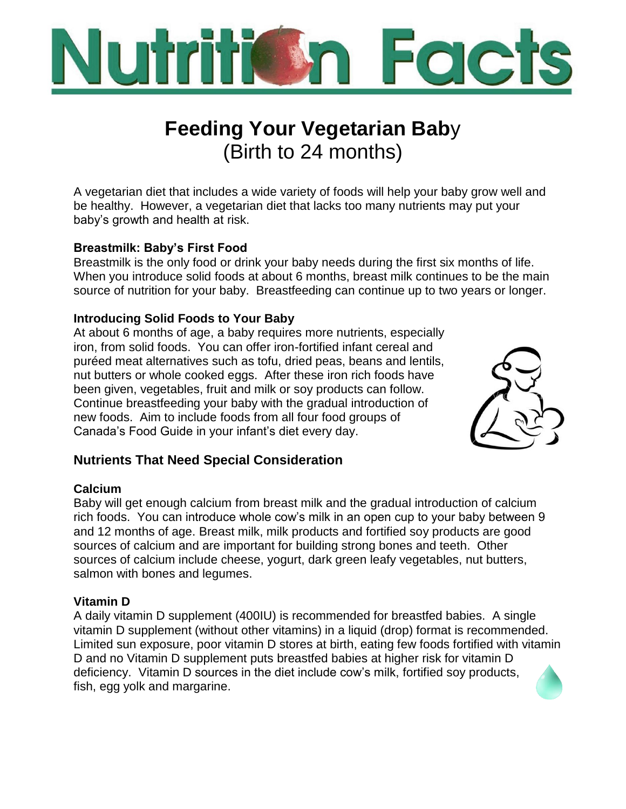

# **Feeding Your Vegetarian Bab**y (Birth to 24 months)

A vegetarian diet that includes a wide variety of foods will help your baby grow well and be healthy. However, a vegetarian diet that lacks too many nutrients may put your baby's growth and health at risk.

# **Breastmilk: Baby's First Food**

Breastmilk is the only food or drink your baby needs during the first six months of life. When you introduce solid foods at about 6 months, breast milk continues to be the main source of nutrition for your baby. Breastfeeding can continue up to two years or longer.

### **Introducing Solid Foods to Your Baby**

At about 6 months of age, a baby requires more nutrients, especially iron, from solid foods. You can offer iron-fortified infant cereal and puréed meat alternatives such as tofu, dried peas, beans and lentils, nut butters or whole cooked eggs. After these iron rich foods have been given, vegetables, fruit and milk or soy products can follow. Continue breastfeeding your baby with the gradual introduction of new foods. Aim to include foods from all four food groups of Canada's Food Guide in your infant's diet every day.



# **Nutrients That Need Special Consideration**

#### **Calcium**

Baby will get enough calcium from breast milk and the gradual introduction of calcium rich foods. You can introduce whole cow's milk in an open cup to your baby between 9 and 12 months of age. Breast milk, milk products and fortified soy products are good sources of calcium and are important for building strong bones and teeth. Other sources of calcium include cheese, yogurt, dark green leafy vegetables, nut butters, salmon with bones and legumes.

#### **Vitamin D**

A daily vitamin D supplement (400IU) is recommended for breastfed babies. A single vitamin D supplement (without other vitamins) in a liquid (drop) format is recommended. Limited sun exposure, poor vitamin D stores at birth, eating few foods fortified with vitamin D and no Vitamin D supplement puts breastfed babies at higher risk for vitamin D deficiency. Vitamin D sources in the diet include cow's milk, fortified soy products, fish, egg yolk and margarine.